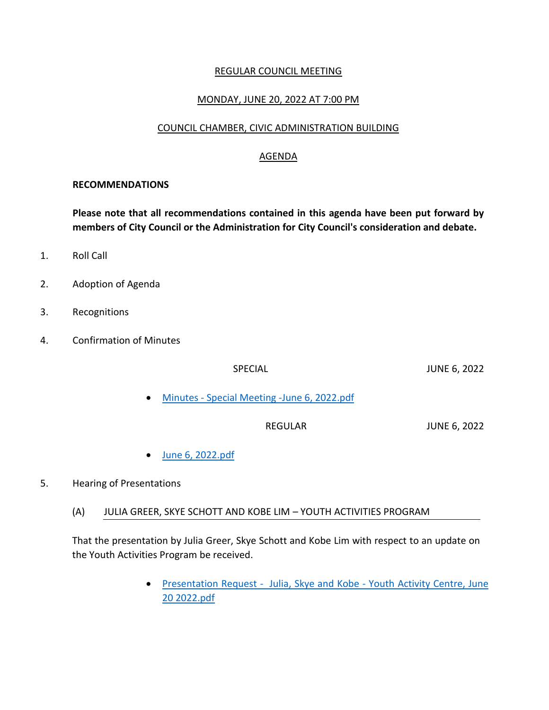## REGULAR COUNCIL MEETING

## MONDAY, JUNE 20, 2022 AT 7:00 PM

### COUNCIL CHAMBER, CIVIC ADMINISTRATION BUILDING

#### AGENDA

#### **RECOMMENDATIONS**

**Please note that all recommendations contained in this agenda have been put forward by members of City Council or the Administration for City Council's consideration and debate.**

- 1. Roll Call
- 2. Adoption of Agenda
- 3. Recognitions
- 4. Confirmation of Minutes

| <b>SPECIAL</b>                                 | <b>JUNE 6, 2022</b> |
|------------------------------------------------|---------------------|
| • Minutes - Special Meeting - June 6, 2022.pdf |                     |
| REGULAR                                        | <b>JUNE 6, 2022</b> |

[June 6, 2022.pdf](https://paperlesscouncil.brandon.ca/attachments/A_2022/COM_ASIJKMRXKHGXHIDJTIXNFXLTDAFJGHQOHKISCZPKKGQBUPIUVDR_June%206,%202022.pdf)

### 5. Hearing of Presentations

(A) JULIA GREER, SKYE SCHOTT AND KOBE LIM – YOUTH ACTIVITIES PROGRAM

That the presentation by Julia Greer, Skye Schott and Kobe Lim with respect to an update on the Youth Activities Program be received.

> [Presentation Request - Julia, Skye and Kobe -](https://paperlesscouncil.brandon.ca/attachments/A_2022/HOP_EGYMQEWKHTTSRGCMIVKHUUPCRPXBAJAGQAWLKKTOIOAIFORDTQI_Presentation%20Request%20-%20%20Julia,%20Skye%20and%20Kobe%20-%20Youth%20Activity%20Centre,%20June%2020%202022.pdf) Youth Activity Centre, June [20 2022.pdf](https://paperlesscouncil.brandon.ca/attachments/A_2022/HOP_EGYMQEWKHTTSRGCMIVKHUUPCRPXBAJAGQAWLKKTOIOAIFORDTQI_Presentation%20Request%20-%20%20Julia,%20Skye%20and%20Kobe%20-%20Youth%20Activity%20Centre,%20June%2020%202022.pdf)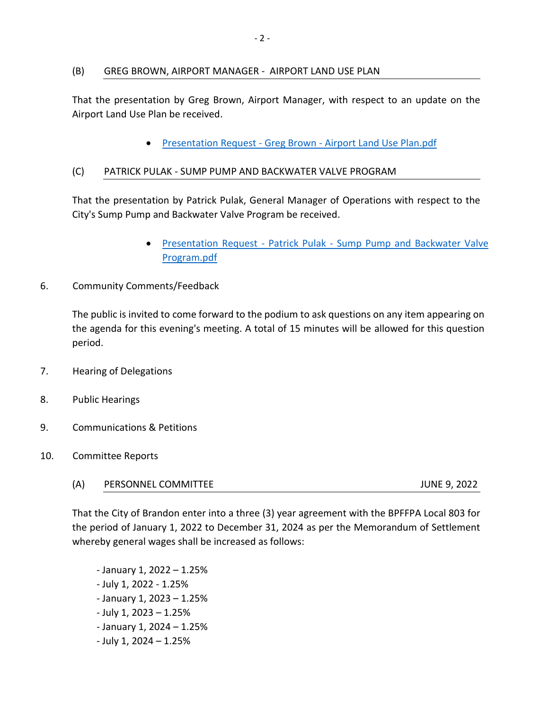### (B) GREG BROWN, AIRPORT MANAGER - AIRPORT LAND USE PLAN

That the presentation by Greg Brown, Airport Manager, with respect to an update on the Airport Land Use Plan be received.

• Presentation Request - Greg Brown - [Airport Land Use Plan.pdf](https://paperlesscouncil.brandon.ca/attachments/A_2022/HOP_FOFEMQEAEBFFNABJKAPABEDBWJGDHQZBPCMLRTJMUMKPHQEUJWZ_Presentation%20Request%20-%20Greg%20Brown%20-%20Airport%20Land%20Use%20Plan.pdf)

### (C) PATRICK PULAK - SUMP PUMP AND BACKWATER VALVE PROGRAM

That the presentation by Patrick Pulak, General Manager of Operations with respect to the City's Sump Pump and Backwater Valve Program be received.

- Presentation Request Patrick Pulak [Sump Pump and Backwater Valve](https://paperlesscouncil.brandon.ca/attachments/A_2022/HOP_UBMLEKKWBYEFORXYANMZVVBZTXYEBDIPLTCEHTKPQMLPAJZKKVA_Presentation%20Request%20-%20Patrick%20Pulak%20-%20Sump%20Pump%20and%20Backwater%20Valve%20Program.pdf)  [Program.pdf](https://paperlesscouncil.brandon.ca/attachments/A_2022/HOP_UBMLEKKWBYEFORXYANMZVVBZTXYEBDIPLTCEHTKPQMLPAJZKKVA_Presentation%20Request%20-%20Patrick%20Pulak%20-%20Sump%20Pump%20and%20Backwater%20Valve%20Program.pdf)
- 6. Community Comments/Feedback

The public is invited to come forward to the podium to ask questions on any item appearing on the agenda for this evening's meeting. A total of 15 minutes will be allowed for this question period.

- 7. Hearing of Delegations
- 8. Public Hearings
- 9. Communications & Petitions
- 10. Committee Reports
	- (A) PERSONNEL COMMITTEE JUNE 9, 2022

That the City of Brandon enter into a three (3) year agreement with the BPFFPA Local 803 for the period of January 1, 2022 to December 31, 2024 as per the Memorandum of Settlement whereby general wages shall be increased as follows:

 - January 1, 2022 – 1.25% - July 1, 2022 - 1.25% - January 1, 2023 – 1.25% - July 1, 2023 – 1.25% - January 1, 2024 – 1.25% - July 1, 2024 – 1.25%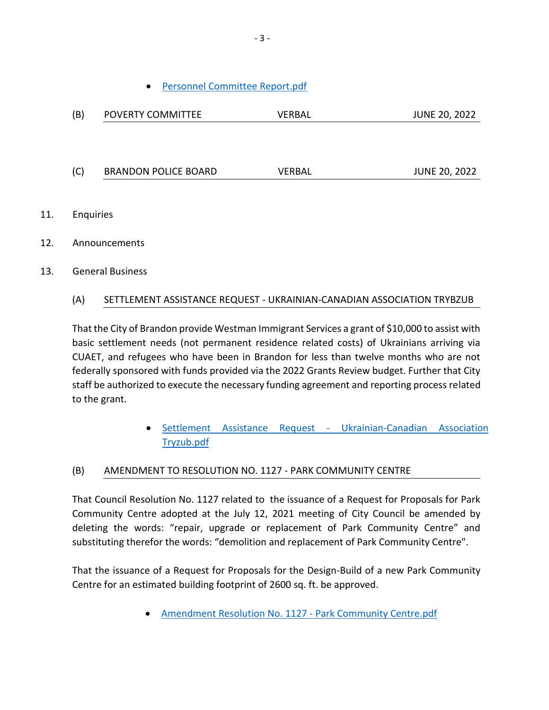[Personnel Committee Report.pdf](https://paperlesscouncil.brandon.ca/attachments/A_2022/REP_CVUOYPXSAAEWUOOWXWSCTLXIWFFFNJIEPNXKFETTQWOYGFPKEGL_Personnel%20Committee%20Report.pdf)

| (B) | POVERTY COMMITTEE           | <b>VERBAL</b> | <b>JUNE 20, 2022</b> |
|-----|-----------------------------|---------------|----------------------|
|     |                             |               |                      |
|     |                             |               |                      |
| (C) | <b>BRANDON POLICE BOARD</b> | <b>VERBAL</b> | <b>JUNE 20, 2022</b> |
|     |                             |               |                      |
|     |                             |               |                      |

- 11. Enquiries
- 12. Announcements
- 13. General Business

## (A) SETTLEMENT ASSISTANCE REQUEST - UKRAINIAN-CANADIAN ASSOCIATION TRYBZUB

That the City of Brandon provide Westman Immigrant Services a grant of \$10,000 to assist with basic settlement needs (not permanent residence related costs) of Ukrainians arriving via CUAET, and refugees who have been in Brandon for less than twelve months who are not federally sponsored with funds provided via the 2022 Grants Review budget. Further that City staff be authorized to execute the necessary funding agreement and reporting process related to the grant.

> [Settlement Assistance Request -](https://paperlesscouncil.brandon.ca/attachments/A_2022/GEN_GZUVNRPXFCCJZPFRDVMEEABRYFKGVNJHQDLCCRNCNNJZFFKCZPD_Settlement%20Assistance%20Request%20-%20Ukrainian-Canadian%20Association%20Tryzub.pdf) Ukrainian-Canadian Association [Tryzub.pdf](https://paperlesscouncil.brandon.ca/attachments/A_2022/GEN_GZUVNRPXFCCJZPFRDVMEEABRYFKGVNJHQDLCCRNCNNJZFFKCZPD_Settlement%20Assistance%20Request%20-%20Ukrainian-Canadian%20Association%20Tryzub.pdf)

## (B) AMENDMENT TO RESOLUTION NO. 1127 - PARK COMMUNITY CENTRE

That Council Resolution No. 1127 related to the issuance of a Request for Proposals for Park Community Centre adopted at the July 12, 2021 meeting of City Council be amended by deleting the words: "repair, upgrade or replacement of Park Community Centre" and substituting therefor the words: "demolition and replacement of Park Community Centre".

That the issuance of a Request for Proposals for the Design-Build of a new Park Community Centre for an estimated building footprint of 2600 sq. ft. be approved.

• [Amendment Resolution No. 1127 -](https://paperlesscouncil.brandon.ca/attachments/A_2022/GEN_YWJFLXJBCGEYEKQVILLRALIMYPUOUHHDBWKJFJIHUYHAENLVMOT_Amendment%20Resolution%20No.%201127%20-%20Park%20Community%20Centre.pdf) Park Community Centre.pdf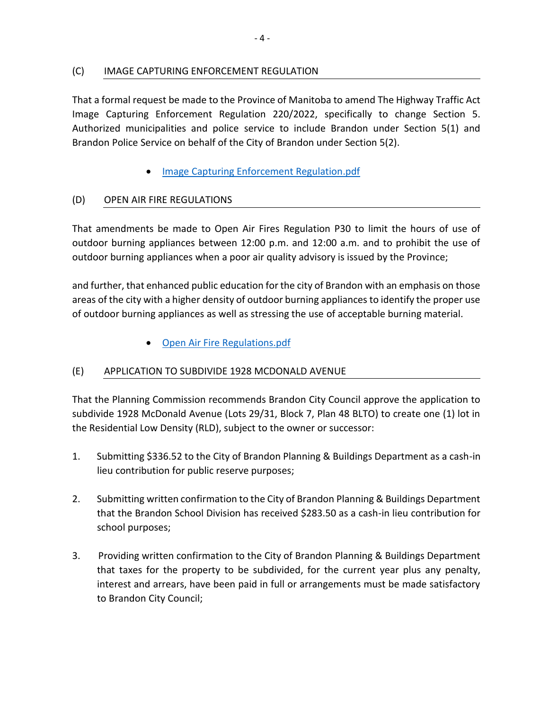## (C) IMAGE CAPTURING ENFORCEMENT REGULATION

That a formal request be made to the Province of Manitoba to amend The Highway Traffic Act Image Capturing Enforcement Regulation 220/2022, specifically to change Section 5. Authorized municipalities and police service to include Brandon under Section 5(1) and Brandon Police Service on behalf of the City of Brandon under Section 5(2).

[Image Capturing Enforcement Regulation.pdf](https://paperlesscouncil.brandon.ca/attachments/A_2022/GEN_NHDJYQVRKIKZHDGAGPGVSCWCEUAIIBOMCYKROVMIBOCLBEKWJKI_Image%20Capturing%20Enforcement%20Regulation.pdf)

# (D) OPEN AIR FIRE REGULATIONS

That amendments be made to Open Air Fires Regulation P30 to limit the hours of use of outdoor burning appliances between 12:00 p.m. and 12:00 a.m. and to prohibit the use of outdoor burning appliances when a poor air quality advisory is issued by the Province;

and further, that enhanced public education for the city of Brandon with an emphasis on those areas of the city with a higher density of outdoor burning appliances to identify the proper use of outdoor burning appliances as well as stressing the use of acceptable burning material.

[Open Air Fire Regulations.pdf](https://paperlesscouncil.brandon.ca/attachments/A_2022/GEN_BJTGTFIELILGYYUXGMOCPJQGCZFYGGPSAIGJHJTRQKTPIZMYAWI_Open%20Air%20Fire%20Regulations.pdf)

## (E) APPLICATION TO SUBDIVIDE 1928 MCDONALD AVENUE

That the Planning Commission recommends Brandon City Council approve the application to subdivide 1928 McDonald Avenue (Lots 29/31, Block 7, Plan 48 BLTO) to create one (1) lot in the Residential Low Density (RLD), subject to the owner or successor:

- 1. Submitting \$336.52 to the City of Brandon Planning & Buildings Department as a cash-in lieu contribution for public reserve purposes;
- 2. Submitting written confirmation to the City of Brandon Planning & Buildings Department that the Brandon School Division has received \$283.50 as a cash-in lieu contribution for school purposes;
- 3. Providing written confirmation to the City of Brandon Planning & Buildings Department that taxes for the property to be subdivided, for the current year plus any penalty, interest and arrears, have been paid in full or arrangements must be made satisfactory to Brandon City Council;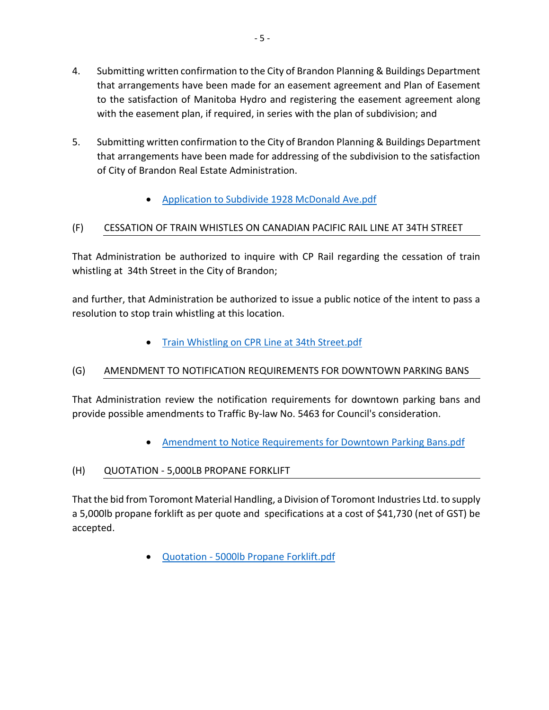- 4. Submitting written confirmation to the City of Brandon Planning & Buildings Department that arrangements have been made for an easement agreement and Plan of Easement to the satisfaction of Manitoba Hydro and registering the easement agreement along with the easement plan, if required, in series with the plan of subdivision; and
- 5. Submitting written confirmation to the City of Brandon Planning & Buildings Department that arrangements have been made for addressing of the subdivision to the satisfaction of City of Brandon Real Estate Administration.
	- [Application to Subdivide 1928 McDonald Ave.pdf](https://paperlesscouncil.brandon.ca/attachments/A_2022/GEN_XAYYYPOVHBHISIKCIUDUOEKWTGMRWJMQDTXDVFIEPWDYTBQDTWT_Application%20to%20Subdivide%201928%20McDonald%20Ave.pdf)

# (F) CESSATION OF TRAIN WHISTLES ON CANADIAN PACIFIC RAIL LINE AT 34TH STREET

That Administration be authorized to inquire with CP Rail regarding the cessation of train whistling at 34th Street in the City of Brandon;

and further, that Administration be authorized to issue a public notice of the intent to pass a resolution to stop train whistling at this location.

[Train Whistling on CPR Line at 34th Street.pdf](https://paperlesscouncil.brandon.ca/attachments/A_2022/GEN_LVJDIPBJECVOPUMOSADIXSDEXWTAYSPFWLIQQAZMRQKVZADEFKA_Train%20Whistling%20on%20CPR%20Line%20at%2034th%20Street.pdf)

# (G) AMENDMENT TO NOTIFICATION REQUIREMENTS FOR DOWNTOWN PARKING BANS

That Administration review the notification requirements for downtown parking bans and provide possible amendments to Traffic By-law No. 5463 for Council's consideration.

- [Amendment to Notice Requirements for Downtown Parking Bans.pdf](https://paperlesscouncil.brandon.ca/attachments/A_2022/GEN_OEVDWPVRMJEQHSTSLSVFBOLBRWAPBGXRSEMSFKJHLZLKPKKZXJB_Amendment%20to%20Notice%20Requirements%20for%20Downtown%20Parking%20Bans.pdf)
- (H) QUOTATION 5,000LB PROPANE FORKLIFT

That the bid from Toromont Material Handling, a Division of Toromont Industries Ltd. to supply a 5,000lb propane forklift as per quote and specifications at a cost of \$41,730 (net of GST) be accepted.

Quotation - [5000lb Propane Forklift.pdf](https://paperlesscouncil.brandon.ca/attachments/A_2022/GEN_XUNASRXJTZNYMDAKOFOBLVGSTLQRZBLIGDTVLILHCKRKZCWEWTA_Quotation%20-%205000lb%20Propane%20Forklift.pdf)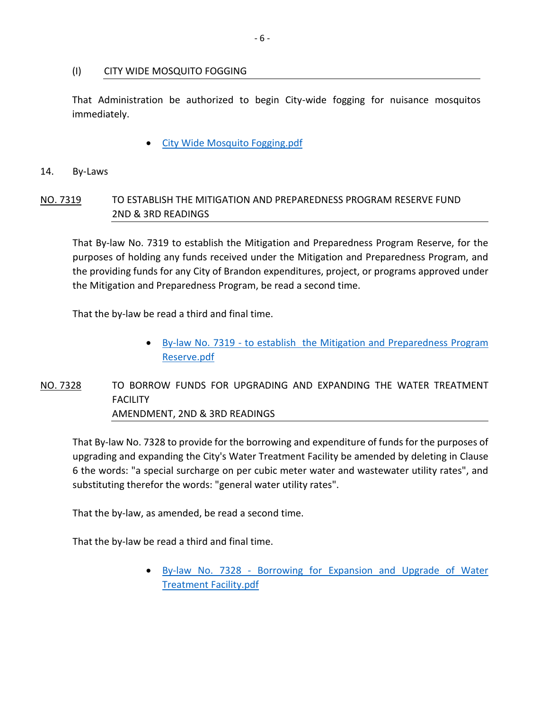### (I) CITY WIDE MOSQUITO FOGGING

That Administration be authorized to begin City-wide fogging for nuisance mosquitos immediately.

[City Wide Mosquito Fogging.pdf](https://paperlesscouncil.brandon.ca/attachments/A_2022/GEN_BTMAVHZDSJUEBVJJXWXRQBFVKBRCYOTLBBBJTJZYTUJETTWJFPL_City%20Wide%20Mosquito%20Fogging.pdf)

### 14. By-Laws

# NO. 7319 TO ESTABLISH THE MITIGATION AND PREPAREDNESS PROGRAM RESERVE FUND 2ND & 3RD READINGS

That By-law No. 7319 to establish the Mitigation and Preparedness Program Reserve, for the purposes of holding any funds received under the Mitigation and Preparedness Program, and the providing funds for any City of Brandon expenditures, project, or programs approved under the Mitigation and Preparedness Program, be read a second time.

That the by-law be read a third and final time.

 By-law No. 7319 - [to establish the Mitigation and Preparedness Program](https://paperlesscouncil.brandon.ca/attachments/A_2022/BYL_ZHGXIYYCSXVFQASWPHKNNTPJQDFQEZAUNUDDEPBWACONXKPGHDX_By-law%20No.%207319%20-%20to%20establish%20%20the%20Mitigation%20and%20Preparedness%20Program%20Reserve.pdf)  [Reserve.pdf](https://paperlesscouncil.brandon.ca/attachments/A_2022/BYL_ZHGXIYYCSXVFQASWPHKNNTPJQDFQEZAUNUDDEPBWACONXKPGHDX_By-law%20No.%207319%20-%20to%20establish%20%20the%20Mitigation%20and%20Preparedness%20Program%20Reserve.pdf)

# NO. 7328 TO BORROW FUNDS FOR UPGRADING AND EXPANDING THE WATER TREATMENT **FACILITY** AMENDMENT, 2ND & 3RD READINGS

That By-law No. 7328 to provide for the borrowing and expenditure of funds for the purposes of upgrading and expanding the City's Water Treatment Facility be amended by deleting in Clause 6 the words: "a special surcharge on per cubic meter water and wastewater utility rates", and substituting therefor the words: "general water utility rates".

That the by-law, as amended, be read a second time.

That the by-law be read a third and final time.

 By-law No. 7328 - [Borrowing for Expansion and Upgrade of Water](https://paperlesscouncil.brandon.ca/attachments/A_2022/BYL_BDQDOYRDRVEFPPKMGSVMIBKHGJZCLKILIAQYFRZVDGHUSIQBKED_By-law%20No.%207328%20-%20Borrowing%20for%20Expansion%20and%20Upgrade%20of%20Water%20Treatment%20Facility.pdf)  [Treatment Facility.pdf](https://paperlesscouncil.brandon.ca/attachments/A_2022/BYL_BDQDOYRDRVEFPPKMGSVMIBKHGJZCLKILIAQYFRZVDGHUSIQBKED_By-law%20No.%207328%20-%20Borrowing%20for%20Expansion%20and%20Upgrade%20of%20Water%20Treatment%20Facility.pdf)